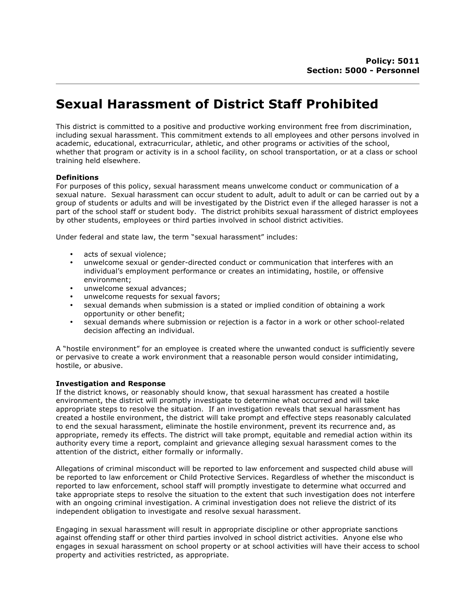# **Sexual Harassment of District Staff Prohibited**

This district is committed to a positive and productive working environment free from discrimination, including sexual harassment. This commitment extends to all employees and other persons involved in academic, educational, extracurricular, athletic, and other programs or activities of the school, whether that program or activity is in a school facility, on school transportation, or at a class or school training held elsewhere.

# **Definitions**

For purposes of this policy, sexual harassment means unwelcome conduct or communication of a sexual nature. Sexual harassment can occur student to adult, adult to adult or can be carried out by a group of students or adults and will be investigated by the District even if the alleged harasser is not a part of the school staff or student body. The district prohibits sexual harassment of district employees by other students, employees or third parties involved in school district activities.

Under federal and state law, the term "sexual harassment" includes:

- acts of sexual violence;
- unwelcome sexual or gender-directed conduct or communication that interferes with an individual's employment performance or creates an intimidating, hostile, or offensive environment;
- unwelcome sexual advances;
- unwelcome requests for sexual favors;
- sexual demands when submission is a stated or implied condition of obtaining a work opportunity or other benefit;
- sexual demands where submission or rejection is a factor in a work or other school-related decision affecting an individual.

A "hostile environment" for an employee is created where the unwanted conduct is sufficiently severe or pervasive to create a work environment that a reasonable person would consider intimidating, hostile, or abusive.

# **Investigation and Response**

If the district knows, or reasonably should know, that sexual harassment has created a hostile environment, the district will promptly investigate to determine what occurred and will take appropriate steps to resolve the situation. If an investigation reveals that sexual harassment has created a hostile environment, the district will take prompt and effective steps reasonably calculated to end the sexual harassment, eliminate the hostile environment, prevent its recurrence and, as appropriate, remedy its effects. The district will take prompt, equitable and remedial action within its authority every time a report, complaint and grievance alleging sexual harassment comes to the attention of the district, either formally or informally.

Allegations of criminal misconduct will be reported to law enforcement and suspected child abuse will be reported to law enforcement or Child Protective Services. Regardless of whether the misconduct is reported to law enforcement, school staff will promptly investigate to determine what occurred and take appropriate steps to resolve the situation to the extent that such investigation does not interfere with an ongoing criminal investigation. A criminal investigation does not relieve the district of its independent obligation to investigate and resolve sexual harassment.

Engaging in sexual harassment will result in appropriate discipline or other appropriate sanctions against offending staff or other third parties involved in school district activities. Anyone else who engages in sexual harassment on school property or at school activities will have their access to school property and activities restricted, as appropriate.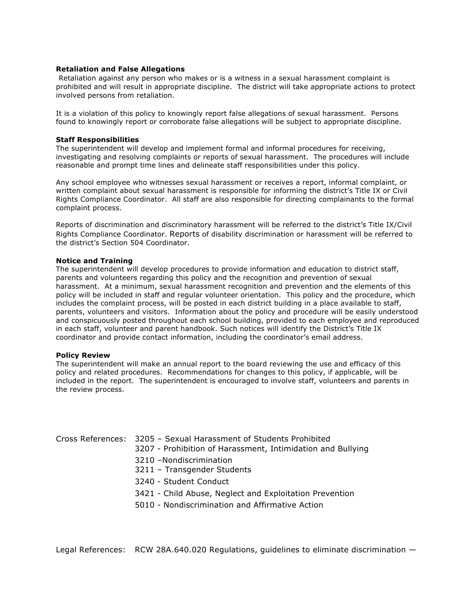## **Retaliation and False Allegations**

Retaliation against any person who makes or is a witness in a sexual harassment complaint is prohibited and will result in appropriate discipline. The district will take appropriate actions to protect involved persons from retaliation.

It is a violation of this policy to knowingly report false allegations of sexual harassment. Persons found to knowingly report or corroborate false allegations will be subject to appropriate discipline.

#### **Staff Responsibilities**

The superintendent will develop and implement formal and informal procedures for receiving, investigating and resolving complaints or reports of sexual harassment. The procedures will include reasonable and prompt time lines and delineate staff responsibilities under this policy.

Any school employee who witnesses sexual harassment or receives a report, informal complaint, or written complaint about sexual harassment is responsible for informing the district's Title IX or Civil Rights Compliance Coordinator. All staff are also responsible for directing complainants to the formal complaint process.

Reports of discrimination and discriminatory harassment will be referred to the district's Title IX/Civil Rights Compliance Coordinator. Reports of disability discrimination or harassment will be referred to the district's Section 504 Coordinator.

### **Notice and Training**

The superintendent will develop procedures to provide information and education to district staff, parents and volunteers regarding this policy and the recognition and prevention of sexual harassment. At a minimum, sexual harassment recognition and prevention and the elements of this policy will be included in staff and regular volunteer orientation. This policy and the procedure, which includes the complaint process, will be posted in each district building in a place available to staff, parents, volunteers and visitors. Information about the policy and procedure will be easily understood and conspicuously posted throughout each school building, provided to each employee and reproduced in each staff, volunteer and parent handbook. Such notices will identify the District's Title IX coordinator and provide contact information, including the coordinator's email address.

#### **Policy Review**

The superintendent will make an annual report to the board reviewing the use and efficacy of this policy and related procedures. Recommendations for changes to this policy, if applicable, will be included in the report. The superintendent is encouraged to involve staff, volunteers and parents in the review process.

| Cross References: 3205 - Sexual Harassment of Students Prohibited<br>3207 - Prohibition of Harassment, Intimidation and Bullying |
|----------------------------------------------------------------------------------------------------------------------------------|
| 3210 - Nondiscrimination<br>3211 - Transgender Students                                                                          |
| 3240 - Student Conduct                                                                                                           |
| 3421 - Child Abuse, Neglect and Exploitation Prevention                                                                          |
| 5010 - Nondiscrimination and Affirmative Action                                                                                  |
|                                                                                                                                  |

Legal References: RCW 28A.640.020 Regulations, guidelines to eliminate discrimination -